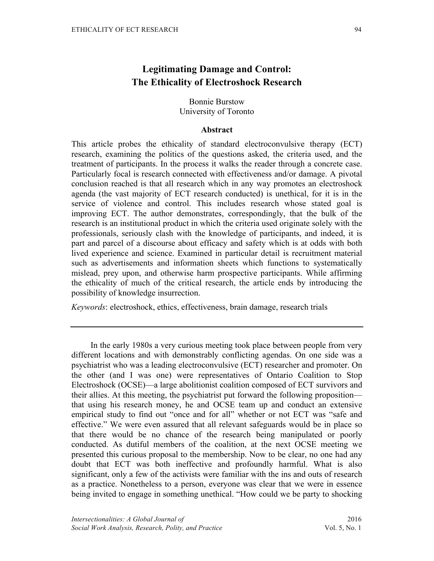# **Legitimating Damage and Control: The Ethicality of Electroshock Research**

## Bonnie Burstow University of Toronto

## **Abstract**

This article probes the ethicality of standard electroconvulsive therapy (ECT) research, examining the politics of the questions asked, the criteria used, and the treatment of participants. In the process it walks the reader through a concrete case. Particularly focal is research connected with effectiveness and/or damage. A pivotal conclusion reached is that all research which in any way promotes an electroshock agenda (the vast majority of ECT research conducted) is unethical, for it is in the service of violence and control. This includes research whose stated goal is improving ECT. The author demonstrates, correspondingly, that the bulk of the research is an institutional product in which the criteria used originate solely with the professionals, seriously clash with the knowledge of participants, and indeed, it is part and parcel of a discourse about efficacy and safety which is at odds with both lived experience and science. Examined in particular detail is recruitment material such as advertisements and information sheets which functions to systematically mislead, prey upon, and otherwise harm prospective participants. While affirming the ethicality of much of the critical research, the article ends by introducing the possibility of knowledge insurrection.

*Keywords*: electroshock, ethics, effectiveness, brain damage, research trials

In the early 1980s a very curious meeting took place between people from very different locations and with demonstrably conflicting agendas. On one side was a psychiatrist who was a leading electroconvulsive (ECT) researcher and promoter. On the other (and I was one) were representatives of Ontario Coalition to Stop Electroshock (OCSE)—a large abolitionist coalition composed of ECT survivors and their allies. At this meeting, the psychiatrist put forward the following proposition that using his research money, he and OCSE team up and conduct an extensive empirical study to find out "once and for all" whether or not ECT was "safe and effective." We were even assured that all relevant safeguards would be in place so that there would be no chance of the research being manipulated or poorly conducted. As dutiful members of the coalition, at the next OCSE meeting we presented this curious proposal to the membership. Now to be clear, no one had any doubt that ECT was both ineffective and profoundly harmful. What is also significant, only a few of the activists were familiar with the ins and outs of research as a practice. Nonetheless to a person, everyone was clear that we were in essence being invited to engage in something unethical. "How could we be party to shocking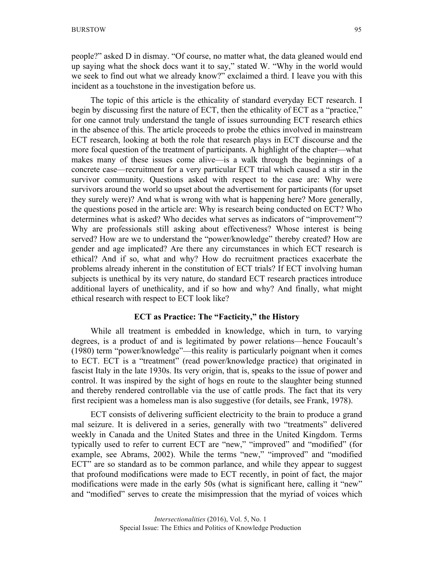people?" asked D in dismay. "Of course, no matter what, the data gleaned would end up saying what the shock docs want it to say," stated W. "Why in the world would we seek to find out what we already know?" exclaimed a third. I leave you with this incident as a touchstone in the investigation before us.

The topic of this article is the ethicality of standard everyday ECT research. I begin by discussing first the nature of ECT, then the ethicality of ECT as a "practice," for one cannot truly understand the tangle of issues surrounding ECT research ethics in the absence of this. The article proceeds to probe the ethics involved in mainstream ECT research, looking at both the role that research plays in ECT discourse and the more focal question of the treatment of participants. A highlight of the chapter—what makes many of these issues come alive—is a walk through the beginnings of a concrete case—recruitment for a very particular ECT trial which caused a stir in the survivor community. Questions asked with respect to the case are: Why were survivors around the world so upset about the advertisement for participants (for upset they surely were)? And what is wrong with what is happening here? More generally, the questions posed in the article are: Why is research being conducted on ECT? Who determines what is asked? Who decides what serves as indicators of "improvement"? Why are professionals still asking about effectiveness? Whose interest is being served? How are we to understand the "power/knowledge" thereby created? How are gender and age implicated? Are there any circumstances in which ECT research is ethical? And if so, what and why? How do recruitment practices exacerbate the problems already inherent in the constitution of ECT trials? If ECT involving human subjects is unethical by its very nature, do standard ECT research practices introduce additional layers of unethicality, and if so how and why? And finally, what might ethical research with respect to ECT look like?

#### **ECT as Practice: The "Facticity," the History**

While all treatment is embedded in knowledge, which in turn, to varying degrees, is a product of and is legitimated by power relations—hence Foucault's (1980) term "power/knowledge"—this reality is particularly poignant when it comes to ECT. ECT is a "treatment" (read power/knowledge practice) that originated in fascist Italy in the late 1930s. Its very origin, that is, speaks to the issue of power and control. It was inspired by the sight of hogs en route to the slaughter being stunned and thereby rendered controllable via the use of cattle prods. The fact that its very first recipient was a homeless man is also suggestive (for details, see Frank, 1978).

ECT consists of delivering sufficient electricity to the brain to produce a grand mal seizure. It is delivered in a series, generally with two "treatments" delivered weekly in Canada and the United States and three in the United Kingdom. Terms typically used to refer to current ECT are "new," "improved" and "modified" (for example, see Abrams, 2002). While the terms "new," "improved" and "modified ECT" are so standard as to be common parlance, and while they appear to suggest that profound modifications were made to ECT recently, in point of fact, the major modifications were made in the early 50s (what is significant here, calling it "new" and "modified" serves to create the misimpression that the myriad of voices which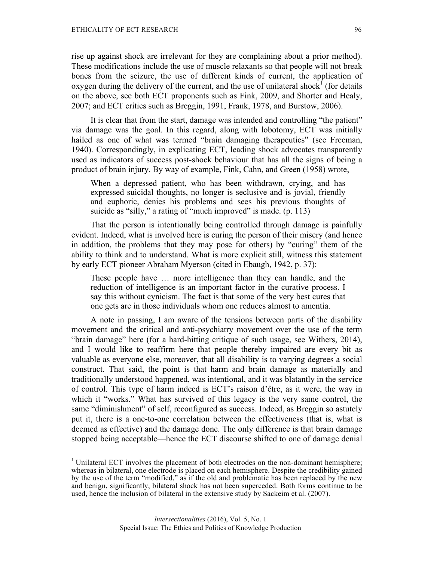rise up against shock are irrelevant for they are complaining about a prior method). These modifications include the use of muscle relaxants so that people will not break bones from the seizure, the use of different kinds of current, the application of oxygen during the delivery of the current, and the use of unilateral shock<sup>1</sup> (for details on the above, see both ECT proponents such as Fink, 2009, and Shorter and Healy, 2007; and ECT critics such as Breggin, 1991, Frank, 1978, and Burstow, 2006).

It is clear that from the start, damage was intended and controlling "the patient" via damage was the goal. In this regard, along with lobotomy, ECT was initially hailed as one of what was termed "brain damaging therapeutics" (see Freeman, 1940). Correspondingly, in explicating ECT, leading shock advocates transparently used as indicators of success post-shock behaviour that has all the signs of being a product of brain injury. By way of example, Fink, Cahn, and Green (1958) wrote,

When a depressed patient, who has been withdrawn, crying, and has expressed suicidal thoughts, no longer is seclusive and is jovial, friendly and euphoric, denies his problems and sees his previous thoughts of suicide as "silly," a rating of "much improved" is made. (p. 113)

That the person is intentionally being controlled through damage is painfully evident. Indeed, what is involved here is curing the person of their misery (and hence in addition, the problems that they may pose for others) by "curing" them of the ability to think and to understand. What is more explicit still, witness this statement by early ECT pioneer Abraham Myerson (cited in Ebaugh, 1942, p. 37):

These people have … more intelligence than they can handle, and the reduction of intelligence is an important factor in the curative process. I say this without cynicism. The fact is that some of the very best cures that one gets are in those individuals whom one reduces almost to amentia.

A note in passing, I am aware of the tensions between parts of the disability movement and the critical and anti-psychiatry movement over the use of the term "brain damage" here (for a hard-hitting critique of such usage, see Withers, 2014), and I would like to reaffirm here that people thereby impaired are every bit as valuable as everyone else, moreover, that all disability is to varying degrees a social construct. That said, the point is that harm and brain damage as materially and traditionally understood happened, was intentional, and it was blatantly in the service of control. This type of harm indeed is ECT's raison d'être, as it were, the way in which it "works." What has survived of this legacy is the very same control, the same "diminishment" of self, reconfigured as success. Indeed, as Breggin so astutely put it, there is a one-to-one correlation between the effectiveness (that is, what is deemed as effective) and the damage done. The only difference is that brain damage stopped being acceptable—hence the ECT discourse shifted to one of damage denial

<sup>&</sup>lt;sup>1</sup> Unilateral ECT involves the placement of both electrodes on the non-dominant hemisphere; whereas in bilateral, one electrode is placed on each hemisphere. Despite the credibility gained by the use of the term "modified," as if the old and problematic has been replaced by the new and benign, significantly, bilateral shock has not been superceded. Both forms continue to be used, hence the inclusion of bilateral in the extensive study by Sackeim et al. (2007).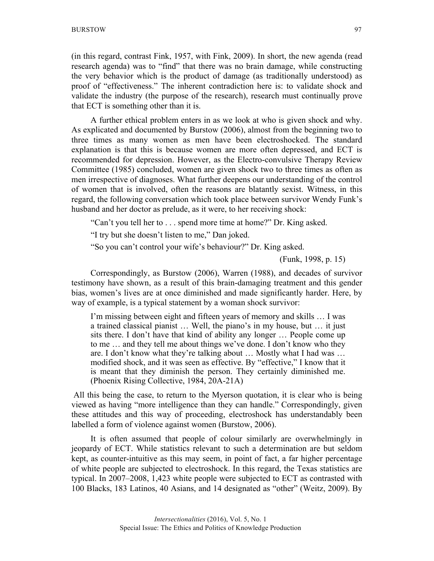(in this regard, contrast Fink, 1957, with Fink, 2009). In short, the new agenda (read research agenda) was to "find" that there was no brain damage, while constructing the very behavior which is the product of damage (as traditionally understood) as proof of "effectiveness." The inherent contradiction here is: to validate shock and validate the industry (the purpose of the research), research must continually prove that ECT is something other than it is.

A further ethical problem enters in as we look at who is given shock and why. As explicated and documented by Burstow (2006), almost from the beginning two to three times as many women as men have been electroshocked. The standard explanation is that this is because women are more often depressed, and ECT is recommended for depression. However, as the Electro-convulsive Therapy Review Committee (1985) concluded, women are given shock two to three times as often as men irrespective of diagnoses. What further deepens our understanding of the control of women that is involved, often the reasons are blatantly sexist. Witness, in this regard, the following conversation which took place between survivor Wendy Funk's husband and her doctor as prelude, as it were, to her receiving shock:

"Can't you tell her to . . . spend more time at home?" Dr. King asked.

"I try but she doesn't listen to me," Dan joked.

"So you can't control your wife's behaviour?" Dr. King asked.

(Funk, 1998, p. 15)

Correspondingly, as Burstow (2006), Warren (1988), and decades of survivor testimony have shown, as a result of this brain-damaging treatment and this gender bias, women's lives are at once diminished and made significantly harder. Here, by way of example, is a typical statement by a woman shock survivor:

I'm missing between eight and fifteen years of memory and skills … I was a trained classical pianist … Well, the piano's in my house, but … it just sits there. I don't have that kind of ability any longer … People come up to me … and they tell me about things we've done. I don't know who they are. I don't know what they're talking about … Mostly what I had was … modified shock, and it was seen as effective. By "effective," I know that it is meant that they diminish the person. They certainly diminished me. (Phoenix Rising Collective, 1984, 20A-21A)

All this being the case, to return to the Myerson quotation, it is clear who is being viewed as having "more intelligence than they can handle." Correspondingly, given these attitudes and this way of proceeding, electroshock has understandably been labelled a form of violence against women (Burstow, 2006).

It is often assumed that people of colour similarly are overwhelmingly in jeopardy of ECT. While statistics relevant to such a determination are but seldom kept, as counter-intuitive as this may seem, in point of fact, a far higher percentage of white people are subjected to electroshock. In this regard, the Texas statistics are typical. In 2007–2008, 1,423 white people were subjected to ECT as contrasted with 100 Blacks, 183 Latinos, 40 Asians, and 14 designated as "other" (Weitz, 2009). By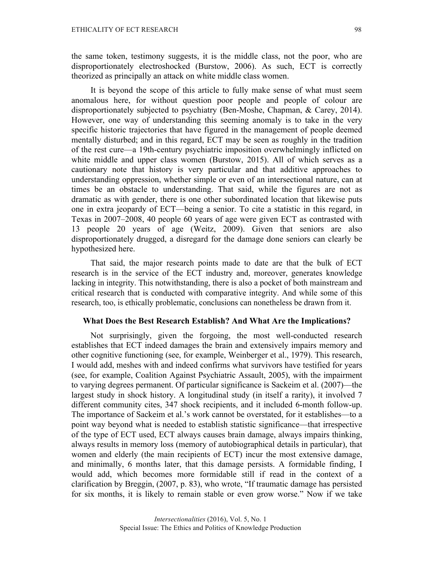the same token, testimony suggests, it is the middle class, not the poor, who are disproportionately electroshocked (Burstow, 2006). As such, ECT is correctly theorized as principally an attack on white middle class women.

It is beyond the scope of this article to fully make sense of what must seem anomalous here, for without question poor people and people of colour are disproportionately subjected to psychiatry (Ben-Moshe, Chapman, & Carey, 2014). However, one way of understanding this seeming anomaly is to take in the very specific historic trajectories that have figured in the management of people deemed mentally disturbed; and in this regard, ECT may be seen as roughly in the tradition of the rest cure—a 19th-century psychiatric imposition overwhelmingly inflicted on white middle and upper class women (Burstow, 2015). All of which serves as a cautionary note that history is very particular and that additive approaches to understanding oppression, whether simple or even of an intersectional nature, can at times be an obstacle to understanding. That said, while the figures are not as dramatic as with gender, there is one other subordinated location that likewise puts one in extra jeopardy of ECT—being a senior. To cite a statistic in this regard, in Texas in 2007–2008, 40 people 60 years of age were given ECT as contrasted with 13 people 20 years of age (Weitz, 2009). Given that seniors are also disproportionately drugged, a disregard for the damage done seniors can clearly be hypothesized here.

That said, the major research points made to date are that the bulk of ECT research is in the service of the ECT industry and, moreover, generates knowledge lacking in integrity. This notwithstanding, there is also a pocket of both mainstream and critical research that is conducted with comparative integrity. And while some of this research, too, is ethically problematic, conclusions can nonetheless be drawn from it.

#### **What Does the Best Research Establish? And What Are the Implications?**

Not surprisingly, given the forgoing, the most well-conducted research establishes that ECT indeed damages the brain and extensively impairs memory and other cognitive functioning (see, for example, Weinberger et al., 1979). This research, I would add, meshes with and indeed confirms what survivors have testified for years (see, for example, Coalition Against Psychiatric Assault, 2005), with the impairment to varying degrees permanent. Of particular significance is Sackeim et al. (2007)—the largest study in shock history. A longitudinal study (in itself a rarity), it involved 7 different community cites, 347 shock recipients, and it included 6-month follow-up. The importance of Sackeim et al.'s work cannot be overstated, for it establishes—to a point way beyond what is needed to establish statistic significance—that irrespective of the type of ECT used, ECT always causes brain damage, always impairs thinking, always results in memory loss (memory of autobiographical details in particular), that women and elderly (the main recipients of ECT) incur the most extensive damage, and minimally, 6 months later, that this damage persists. A formidable finding, I would add, which becomes more formidable still if read in the context of a clarification by Breggin, (2007, p. 83), who wrote, "If traumatic damage has persisted for six months, it is likely to remain stable or even grow worse." Now if we take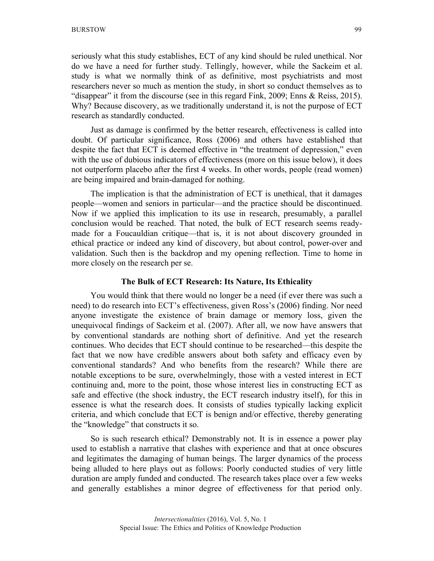seriously what this study establishes, ECT of any kind should be ruled unethical. Nor do we have a need for further study. Tellingly, however, while the Sackeim et al. study is what we normally think of as definitive, most psychiatrists and most researchers never so much as mention the study, in short so conduct themselves as to "disappear" it from the discourse (see in this regard Fink, 2009; Enns & Reiss, 2015). Why? Because discovery, as we traditionally understand it, is not the purpose of ECT research as standardly conducted.

Just as damage is confirmed by the better research, effectiveness is called into doubt. Of particular significance, Ross (2006) and others have established that despite the fact that ECT is deemed effective in "the treatment of depression," even with the use of dubious indicators of effectiveness (more on this issue below), it does not outperform placebo after the first 4 weeks. In other words, people (read women) are being impaired and brain-damaged for nothing.

The implication is that the administration of ECT is unethical, that it damages people—women and seniors in particular—and the practice should be discontinued. Now if we applied this implication to its use in research, presumably, a parallel conclusion would be reached. That noted, the bulk of ECT research seems readymade for a Foucauldian critique—that is, it is not about discovery grounded in ethical practice or indeed any kind of discovery, but about control, power-over and validation. Such then is the backdrop and my opening reflection. Time to home in more closely on the research per se.

#### **The Bulk of ECT Research: Its Nature, Its Ethicality**

You would think that there would no longer be a need (if ever there was such a need) to do research into ECT's effectiveness, given Ross's (2006) finding. Nor need anyone investigate the existence of brain damage or memory loss, given the unequivocal findings of Sackeim et al. (2007). After all, we now have answers that by conventional standards are nothing short of definitive. And yet the research continues. Who decides that ECT should continue to be researched—this despite the fact that we now have credible answers about both safety and efficacy even by conventional standards? And who benefits from the research? While there are notable exceptions to be sure, overwhelmingly, those with a vested interest in ECT continuing and, more to the point, those whose interest lies in constructing ECT as safe and effective (the shock industry, the ECT research industry itself), for this in essence is what the research does. It consists of studies typically lacking explicit criteria, and which conclude that ECT is benign and/or effective, thereby generating the "knowledge" that constructs it so.

So is such research ethical? Demonstrably not. It is in essence a power play used to establish a narrative that clashes with experience and that at once obscures and legitimates the damaging of human beings. The larger dynamics of the process being alluded to here plays out as follows: Poorly conducted studies of very little duration are amply funded and conducted. The research takes place over a few weeks and generally establishes a minor degree of effectiveness for that period only.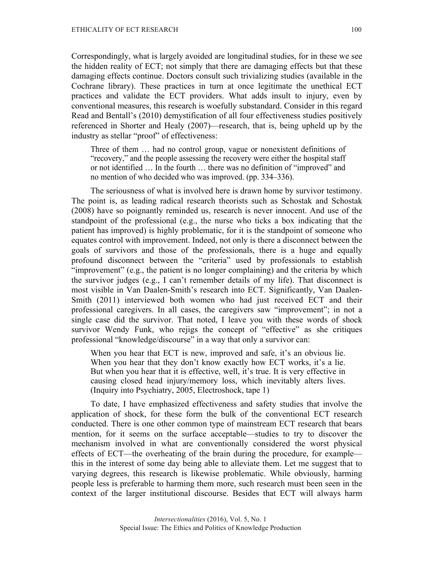Correspondingly, what is largely avoided are longitudinal studies, for in these we see the hidden reality of ECT; not simply that there are damaging effects but that these damaging effects continue. Doctors consult such trivializing studies (available in the Cochrane library). These practices in turn at once legitimate the unethical ECT practices and validate the ECT providers. What adds insult to injury, even by conventional measures, this research is woefully substandard. Consider in this regard Read and Bentall's (2010) demystification of all four effectiveness studies positively referenced in Shorter and Healy (2007)—research, that is, being upheld up by the industry as stellar "proof" of effectiveness:

Three of them … had no control group, vague or nonexistent definitions of "recovery," and the people assessing the recovery were either the hospital staff or not identified … In the fourth … there was no definition of "improved" and no mention of who decided who was improved. (pp. 334–336).

The seriousness of what is involved here is drawn home by survivor testimony. The point is, as leading radical research theorists such as Schostak and Schostak (2008) have so poignantly reminded us, research is never innocent. And use of the standpoint of the professional (e.g., the nurse who ticks a box indicating that the patient has improved) is highly problematic, for it is the standpoint of someone who equates control with improvement. Indeed, not only is there a disconnect between the goals of survivors and those of the professionals, there is a huge and equally profound disconnect between the "criteria" used by professionals to establish "improvement" (e.g., the patient is no longer complaining) and the criteria by which the survivor judges (e.g., I can't remember details of my life). That disconnect is most visible in Van Daalen-Smith's research into ECT. Significantly, Van Daalen-Smith (2011) interviewed both women who had just received ECT and their professional caregivers. In all cases, the caregivers saw "improvement"; in not a single case did the survivor. That noted, I leave you with these words of shock survivor Wendy Funk, who rejigs the concept of "effective" as she critiques professional "knowledge/discourse" in a way that only a survivor can:

When you hear that ECT is new, improved and safe, it's an obvious lie. When you hear that they don't know exactly how ECT works, it's a lie. But when you hear that it is effective, well, it's true. It is very effective in causing closed head injury/memory loss, which inevitably alters lives. (Inquiry into Psychiatry, 2005, Electroshock, tape 1)

To date, I have emphasized effectiveness and safety studies that involve the application of shock, for these form the bulk of the conventional ECT research conducted. There is one other common type of mainstream ECT research that bears mention, for it seems on the surface acceptable—studies to try to discover the mechanism involved in what are conventionally considered the worst physical effects of ECT—the overheating of the brain during the procedure, for example this in the interest of some day being able to alleviate them. Let me suggest that to varying degrees, this research is likewise problematic. While obviously, harming people less is preferable to harming them more, such research must been seen in the context of the larger institutional discourse. Besides that ECT will always harm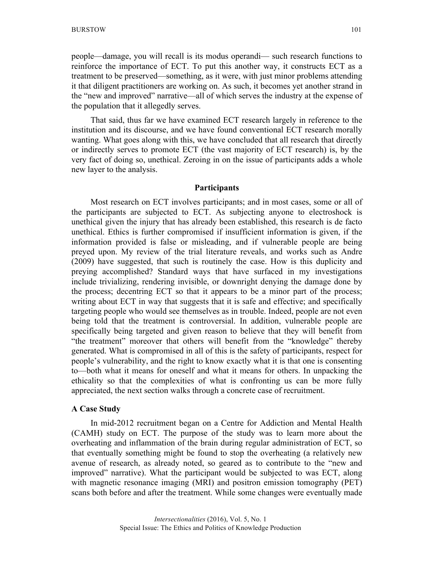people—damage, you will recall is its modus operandi— such research functions to reinforce the importance of ECT. To put this another way, it constructs ECT as a treatment to be preserved—something, as it were, with just minor problems attending it that diligent practitioners are working on. As such, it becomes yet another strand in the "new and improved" narrative—all of which serves the industry at the expense of the population that it allegedly serves.

That said, thus far we have examined ECT research largely in reference to the institution and its discourse, and we have found conventional ECT research morally wanting. What goes along with this, we have concluded that all research that directly or indirectly serves to promote ECT (the vast majority of ECT research) is, by the very fact of doing so, unethical. Zeroing in on the issue of participants adds a whole new layer to the analysis.

#### **Participants**

Most research on ECT involves participants; and in most cases, some or all of the participants are subjected to ECT. As subjecting anyone to electroshock is unethical given the injury that has already been established, this research is de facto unethical. Ethics is further compromised if insufficient information is given, if the information provided is false or misleading, and if vulnerable people are being preyed upon. My review of the trial literature reveals, and works such as Andre (2009) have suggested, that such is routinely the case. How is this duplicity and preying accomplished? Standard ways that have surfaced in my investigations include trivializing, rendering invisible, or downright denying the damage done by the process; decentring ECT so that it appears to be a minor part of the process; writing about ECT in way that suggests that it is safe and effective; and specifically targeting people who would see themselves as in trouble. Indeed, people are not even being told that the treatment is controversial. In addition, vulnerable people are specifically being targeted and given reason to believe that they will benefit from "the treatment" moreover that others will benefit from the "knowledge" thereby generated. What is compromised in all of this is the safety of participants, respect for people's vulnerability, and the right to know exactly what it is that one is consenting to—both what it means for oneself and what it means for others. In unpacking the ethicality so that the complexities of what is confronting us can be more fully appreciated, the next section walks through a concrete case of recruitment.

### **A Case Study**

In mid-2012 recruitment began on a Centre for Addiction and Mental Health (CAMH) study on ECT. The purpose of the study was to learn more about the overheating and inflammation of the brain during regular administration of ECT, so that eventually something might be found to stop the overheating (a relatively new avenue of research, as already noted, so geared as to contribute to the "new and improved" narrative). What the participant would be subjected to was ECT, along with magnetic resonance imaging (MRI) and positron emission tomography (PET) scans both before and after the treatment. While some changes were eventually made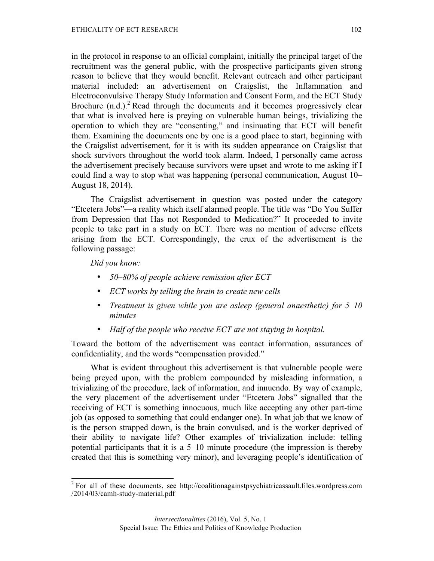in the protocol in response to an official complaint, initially the principal target of the recruitment was the general public, with the prospective participants given strong reason to believe that they would benefit. Relevant outreach and other participant material included: an advertisement on Craigslist, the Inflammation and Electroconvulsive Therapy Study Information and Consent Form, and the ECT Study Brochure  $(n,d)$ .<sup>2</sup> Read through the documents and it becomes progressively clear that what is involved here is preying on vulnerable human beings, trivializing the operation to which they are "consenting," and insinuating that ECT will benefit them. Examining the documents one by one is a good place to start, beginning with the Craigslist advertisement, for it is with its sudden appearance on Craigslist that shock survivors throughout the world took alarm. Indeed, I personally came across the advertisement precisely because survivors were upset and wrote to me asking if I could find a way to stop what was happening (personal communication, August 10– August 18, 2014).

The Craigslist advertisement in question was posted under the category "Etcetera Jobs"—a reality which itself alarmed people. The title was "Do You Suffer from Depression that Has not Responded to Medication?" It proceeded to invite people to take part in a study on ECT. There was no mention of adverse effects arising from the ECT. Correspondingly, the crux of the advertisement is the following passage:

*Did you know:*

- *50–80% of people achieve remission after ECT*
- *ECT works by telling the brain to create new cells*
- *Treatment is given while you are asleep (general anaesthetic) for 5–10 minutes*
- *Half of the people who receive ECT are not staying in hospital.*

Toward the bottom of the advertisement was contact information, assurances of confidentiality, and the words "compensation provided."

What is evident throughout this advertisement is that vulnerable people were being preyed upon, with the problem compounded by misleading information, a trivializing of the procedure, lack of information, and innuendo. By way of example, the very placement of the advertisement under "Etcetera Jobs" signalled that the receiving of ECT is something innocuous, much like accepting any other part-time job (as opposed to something that could endanger one). In what job that we know of is the person strapped down, is the brain convulsed, and is the worker deprived of their ability to navigate life? Other examples of trivialization include: telling potential participants that it is a 5–10 minute procedure (the impression is thereby created that this is something very minor), and leveraging people's identification of

 $2$  For all of these documents, see http://coalitionagainstpsychiatricassault.files.wordpress.com /2014/03/camh-study-material.pdf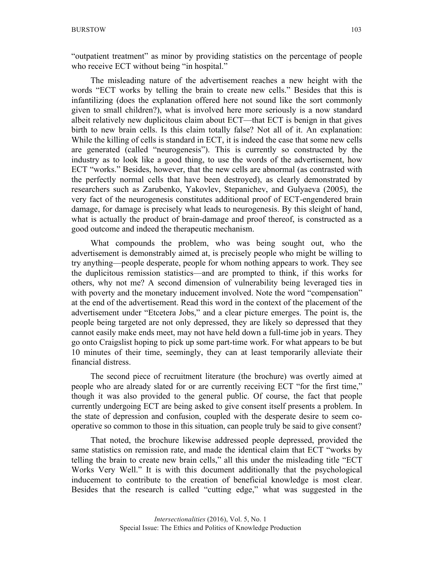"outpatient treatment" as minor by providing statistics on the percentage of people who receive ECT without being "in hospital."

The misleading nature of the advertisement reaches a new height with the words "ECT works by telling the brain to create new cells." Besides that this is infantilizing (does the explanation offered here not sound like the sort commonly given to small children?), what is involved here more seriously is a now standard albeit relatively new duplicitous claim about ECT—that ECT is benign in that gives birth to new brain cells. Is this claim totally false? Not all of it. An explanation: While the killing of cells is standard in ECT, it is indeed the case that some new cells are generated (called "neurogenesis"). This is currently so constructed by the industry as to look like a good thing, to use the words of the advertisement, how ECT "works." Besides, however, that the new cells are abnormal (as contrasted with the perfectly normal cells that have been destroyed), as clearly demonstrated by researchers such as Zarubenko, Yakovlev, Stepanichev, and Gulyaeva (2005), the very fact of the neurogenesis constitutes additional proof of ECT-engendered brain damage, for damage is precisely what leads to neurogenesis. By this sleight of hand, what is actually the product of brain-damage and proof thereof, is constructed as a good outcome and indeed the therapeutic mechanism.

What compounds the problem, who was being sought out, who the advertisement is demonstrably aimed at, is precisely people who might be willing to try anything—people desperate, people for whom nothing appears to work. They see the duplicitous remission statistics—and are prompted to think, if this works for others, why not me? A second dimension of vulnerability being leveraged ties in with poverty and the monetary inducement involved. Note the word "compensation" at the end of the advertisement. Read this word in the context of the placement of the advertisement under "Etcetera Jobs," and a clear picture emerges. The point is, the people being targeted are not only depressed, they are likely so depressed that they cannot easily make ends meet, may not have held down a full-time job in years. They go onto Craigslist hoping to pick up some part-time work. For what appears to be but 10 minutes of their time, seemingly, they can at least temporarily alleviate their financial distress.

The second piece of recruitment literature (the brochure) was overtly aimed at people who are already slated for or are currently receiving ECT "for the first time," though it was also provided to the general public. Of course, the fact that people currently undergoing ECT are being asked to give consent itself presents a problem. In the state of depression and confusion, coupled with the desperate desire to seem cooperative so common to those in this situation, can people truly be said to give consent?

That noted, the brochure likewise addressed people depressed, provided the same statistics on remission rate, and made the identical claim that ECT "works by telling the brain to create new brain cells," all this under the misleading title "ECT Works Very Well." It is with this document additionally that the psychological inducement to contribute to the creation of beneficial knowledge is most clear. Besides that the research is called "cutting edge," what was suggested in the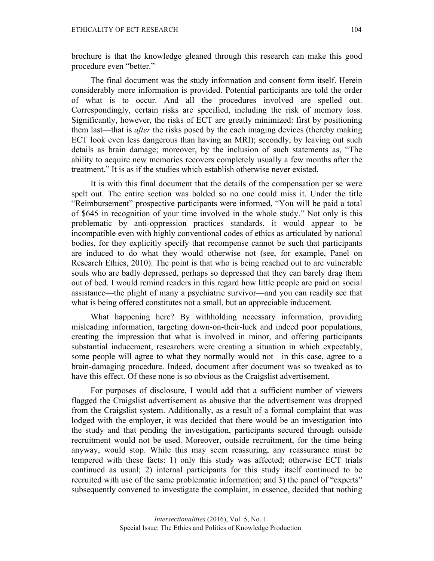brochure is that the knowledge gleaned through this research can make this good procedure even "better."

The final document was the study information and consent form itself. Herein considerably more information is provided. Potential participants are told the order of what is to occur. And all the procedures involved are spelled out. Correspondingly, certain risks are specified, including the risk of memory loss. Significantly, however, the risks of ECT are greatly minimized: first by positioning them last—that is *after* the risks posed by the each imaging devices (thereby making ECT look even less dangerous than having an MRI); secondly, by leaving out such details as brain damage; moreover, by the inclusion of such statements as, "The ability to acquire new memories recovers completely usually a few months after the treatment." It is as if the studies which establish otherwise never existed.

It is with this final document that the details of the compensation per se were spelt out. The entire section was bolded so no one could miss it. Under the title "Reimbursement" prospective participants were informed, "You will be paid a total of \$645 in recognition of your time involved in the whole study." Not only is this problematic by anti-oppression practices standards, it would appear to be incompatible even with highly conventional codes of ethics as articulated by national bodies, for they explicitly specify that recompense cannot be such that participants are induced to do what they would otherwise not (see, for example, Panel on Research Ethics, 2010). The point is that who is being reached out to are vulnerable souls who are badly depressed, perhaps so depressed that they can barely drag them out of bed. I would remind readers in this regard how little people are paid on social assistance—the plight of many a psychiatric survivor—and you can readily see that what is being offered constitutes not a small, but an appreciable inducement.

What happening here? By withholding necessary information, providing misleading information, targeting down-on-their-luck and indeed poor populations, creating the impression that what is involved in minor, and offering participants substantial inducement, researchers were creating a situation in which expectably, some people will agree to what they normally would not—in this case, agree to a brain-damaging procedure. Indeed, document after document was so tweaked as to have this effect. Of these none is so obvious as the Craigslist advertisement.

For purposes of disclosure, I would add that a sufficient number of viewers flagged the Craigslist advertisement as abusive that the advertisement was dropped from the Craigslist system. Additionally, as a result of a formal complaint that was lodged with the employer, it was decided that there would be an investigation into the study and that pending the investigation, participants secured through outside recruitment would not be used. Moreover, outside recruitment, for the time being anyway, would stop. While this may seem reassuring, any reassurance must be tempered with these facts: 1) only this study was affected; otherwise ECT trials continued as usual; 2) internal participants for this study itself continued to be recruited with use of the same problematic information; and 3) the panel of "experts" subsequently convened to investigate the complaint, in essence, decided that nothing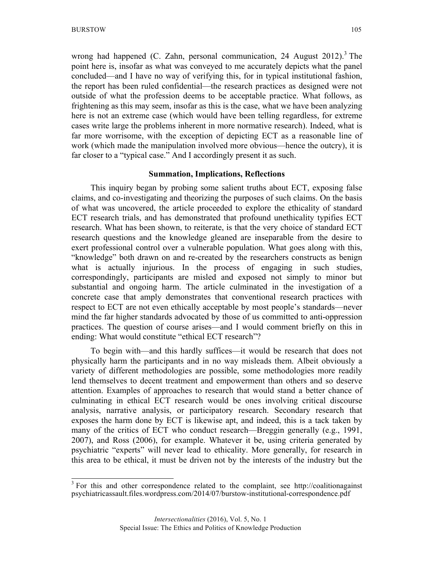wrong had happened (C. Zahn, personal communication, 24 August 2012).<sup>3</sup> The point here is, insofar as what was conveyed to me accurately depicts what the panel concluded—and I have no way of verifying this, for in typical institutional fashion, the report has been ruled confidential—the research practices as designed were not outside of what the profession deems to be acceptable practice. What follows, as frightening as this may seem, insofar as this is the case, what we have been analyzing here is not an extreme case (which would have been telling regardless, for extreme cases write large the problems inherent in more normative research). Indeed, what is far more worrisome, with the exception of depicting ECT as a reasonable line of work (which made the manipulation involved more obvious—hence the outcry), it is far closer to a "typical case." And I accordingly present it as such.

#### **Summation, Implications, Reflections**

This inquiry began by probing some salient truths about ECT, exposing false claims, and co-investigating and theorizing the purposes of such claims. On the basis of what was uncovered, the article proceeded to explore the ethicality of standard ECT research trials, and has demonstrated that profound unethicality typifies ECT research. What has been shown, to reiterate, is that the very choice of standard ECT research questions and the knowledge gleaned are inseparable from the desire to exert professional control over a vulnerable population. What goes along with this, "knowledge" both drawn on and re-created by the researchers constructs as benign what is actually injurious. In the process of engaging in such studies, correspondingly, participants are misled and exposed not simply to minor but substantial and ongoing harm. The article culminated in the investigation of a concrete case that amply demonstrates that conventional research practices with respect to ECT are not even ethically acceptable by most people's standards—never mind the far higher standards advocated by those of us committed to anti-oppression practices. The question of course arises—and I would comment briefly on this in ending: What would constitute "ethical ECT research"?

To begin with—and this hardly suffices—it would be research that does not physically harm the participants and in no way misleads them. Albeit obviously a variety of different methodologies are possible, some methodologies more readily lend themselves to decent treatment and empowerment than others and so deserve attention. Examples of approaches to research that would stand a better chance of culminating in ethical ECT research would be ones involving critical discourse analysis, narrative analysis, or participatory research. Secondary research that exposes the harm done by ECT is likewise apt, and indeed, this is a tack taken by many of the critics of ECT who conduct research—Breggin generally (e.g., 1991, 2007), and Ross (2006), for example. Whatever it be, using criteria generated by psychiatric "experts" will never lead to ethicality. More generally, for research in this area to be ethical, it must be driven not by the interests of the industry but the

 $3$  For this and other correspondence related to the complaint, see http://coalitionagainst psychiatricassault.files.wordpress.com/2014/07/burstow-institutional-correspondence.pdf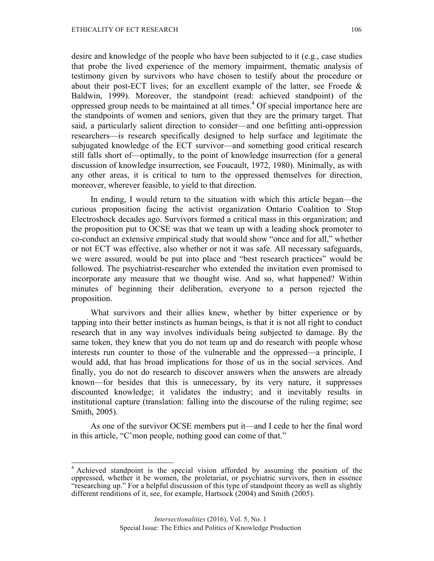desire and knowledge of the people who have been subjected to it (e.g., case studies that probe the lived experience of the memory impairment, thematic analysis of testimony given by survivors who have chosen to testify about the procedure or about their post-ECT lives; for an excellent example of the latter, see Froede  $\&$ Baldwin, 1999). Moreover, the standpoint (read: achieved standpoint) of the oppressed group needs to be maintained at all times. <sup>4</sup> Of special importance here are the standpoints of women and seniors, given that they are the primary target. That said, a particularly salient direction to consider—and one befitting anti-oppression researchers—is research specifically designed to help surface and legitimate the subjugated knowledge of the ECT survivor—and something good critical research still falls short of—optimally, to the point of knowledge insurrection (for a general discussion of knowledge insurrection, see Foucault, 1972, 1980). Minimally, as with any other areas, it is critical to turn to the oppressed themselves for direction, moreover, wherever feasible, to yield to that direction.

In ending, I would return to the situation with which this article began—the curious proposition facing the activist organization Ontario Coalition to Stop Electroshock decades ago. Survivors formed a critical mass in this organization; and the proposition put to OCSE was that we team up with a leading shock promoter to co-conduct an extensive empirical study that would show "once and for all," whether or not ECT was effective, also whether or not it was safe. All necessary safeguards, we were assured, would be put into place and "best research practices" would be followed. The psychiatrist-researcher who extended the invitation even promised to incorporate any measure that we thought wise. And so, what happened? Within minutes of beginning their deliberation, everyone to a person rejected the proposition.

What survivors and their allies knew, whether by bitter experience or by tapping into their better instincts as human beings, is that it is not all right to conduct research that in any way involves individuals being subjected to damage. By the same token, they knew that you do not team up and do research with people whose interests run counter to those of the vulnerable and the oppressed—a principle, I would add, that has broad implications for those of us in the social services. And finally, you do not do research to discover answers when the answers are already known—for besides that this is unnecessary, by its very nature, it suppresses discounted knowledge; it validates the industry; and it inevitably results in institutional capture (translation: falling into the discourse of the ruling regime; see Smith, 2005).

As one of the survivor OCSE members put it—and I cede to her the final word in this article, "C'mon people, nothing good can come of that."

<sup>&</sup>lt;sup>4</sup> Achieved standpoint is the special vision afforded by assuming the position of the oppressed, whether it be women, the proletariat, or psychiatric survivors, then in essence "researching up." For a helpful discussion of this type of standpoint theory as well as slightly different renditions of it, see, for example, Hartsock (2004) and Smith (2005).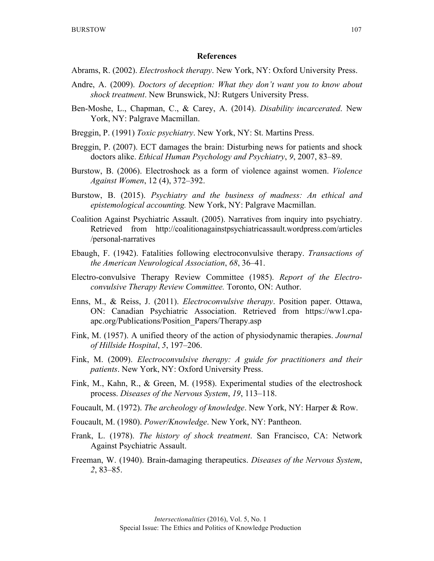#### **References**

- Abrams, R. (2002). *Electroshock therapy*. New York, NY: Oxford University Press.
- Andre, A. (2009). *Doctors of deception: What they don't want you to know about shock treatment*. New Brunswick, NJ: Rutgers University Press.
- Ben-Moshe, L., Chapman, C., & Carey, A. (2014). *Disability incarcerated*. New York, NY: Palgrave Macmillan.
- Breggin, P. (1991) *Toxic psychiatry*. New York, NY: St. Martins Press.
- Breggin, P. (2007). ECT damages the brain: Disturbing news for patients and shock doctors alike. *Ethical Human Psychology and Psychiatry*, *9*, 2007, 83–89.
- Burstow, B. (2006). Electroshock as a form of violence against women. *Violence Against Women*, 12 (4), 372–392.
- Burstow, B. (2015). *Psychiatry and the business of madness: An ethical and epistemological accounting.* New York, NY: Palgrave Macmillan.
- Coalition Against Psychiatric Assault. (2005). Narratives from inquiry into psychiatry. Retrieved from http://coalitionagainstpsychiatricassault.wordpress.com/articles /personal-narratives
- Ebaugh, F. (1942). Fatalities following electroconvulsive therapy. *Transactions of the American Neurological Association*, *68*, 36–41.
- Electro-convulsive Therapy Review Committee (1985). *Report of the Electroconvulsive Therapy Review Committee.* Toronto, ON: Author.
- Enns, M., & Reiss, J. (2011). *Electroconvulsive therapy*. Position paper. Ottawa, ON: Canadian Psychiatric Association. Retrieved from https://ww1.cpaapc.org/Publications/Position\_Papers/Therapy.asp
- Fink, M. (1957). A unified theory of the action of physiodynamic therapies. *Journal of Hillside Hospital*, *5*, 197–206.
- Fink, M. (2009). *Electroconvulsive therapy: A guide for practitioners and their patients*. New York, NY: Oxford University Press.
- Fink, M., Kahn, R., & Green, M. (1958). Experimental studies of the electroshock process. *Diseases of the Nervous System*, *19*, 113–118.
- Foucault, M. (1972). *The archeology of knowledge*. New York, NY: Harper & Row.
- Foucault, M. (1980). *Power/Knowledge*. New York, NY: Pantheon.
- Frank, L. (1978). *The history of shock treatment*. San Francisco, CA: Network Against Psychiatric Assault.
- Freeman, W. (1940). Brain-damaging therapeutics. *Diseases of the Nervous System*, *2*, 83–85.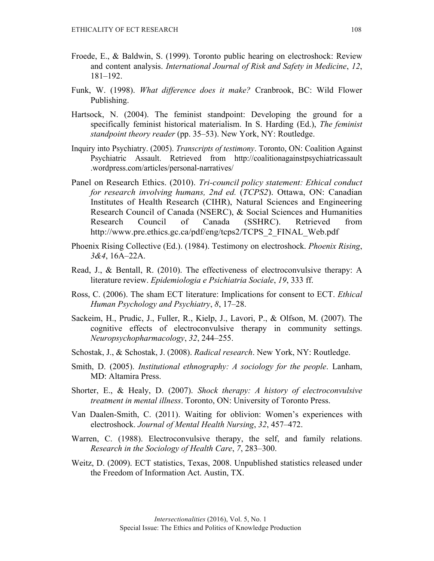- Froede, E., & Baldwin, S. (1999). Toronto public hearing on electroshock: Review and content analysis. *International Journal of Risk and Safety in Medicine*, *12*, 181–192.
- Funk, W. (1998). *What difference does it make?* Cranbrook, BC: Wild Flower Publishing.
- Hartsock, N. (2004). The feminist standpoint: Developing the ground for a specifically feminist historical materialism. In S. Harding (Ed.), *The feminist standpoint theory reader* (pp. 35–53). New York, NY: Routledge.
- Inquiry into Psychiatry. (2005). *Transcripts of testimony*. Toronto, ON: Coalition Against Psychiatric Assault. Retrieved from http://coalitionagainstpsychiatricassault .wordpress.com/articles/personal-narratives/
- Panel on Research Ethics. (2010). *Tri-council policy statement: Ethical conduct for research involving humans, 2nd ed.* (*TCPS2*). Ottawa, ON: Canadian Institutes of Health Research (CIHR), Natural Sciences and Engineering Research Council of Canada (NSERC), & Social Sciences and Humanities Research Council of Canada (SSHRC). Retrieved from http://www.pre.ethics.gc.ca/pdf/eng/tcps2/TCPS\_2\_FINAL\_Web.pdf
- Phoenix Rising Collective (Ed.). (1984). Testimony on electroshock. *Phoenix Rising*, *3&4*, 16A–22A.
- Read, J., & Bentall, R. (2010). The effectiveness of electroconvulsive therapy: A literature review. *Epidemiologia e Psichiatria Sociale*, *19*, 333 ff.
- Ross, C. (2006). The sham ECT literature: Implications for consent to ECT. *Ethical Human Psychology and Psychiatry*, *8*, 17–28.
- Sackeim, H., Prudic, J., Fuller, R., Kielp, J., Lavori, P., & Olfson, M. (2007). The cognitive effects of electroconvulsive therapy in community settings. *Neuropsychopharmacology*, *32*, 244–255.
- Schostak, J., & Schostak, J. (2008). *Radical research*. New York, NY: Routledge.
- Smith, D. (2005). *Institutional ethnography: A sociology for the people*. Lanham, MD: Altamira Press.
- Shorter, E., & Healy, D. (2007). *Shock therapy: A history of electroconvulsive treatment in mental illness*. Toronto, ON: University of Toronto Press.
- Van Daalen-Smith, C. (2011). Waiting for oblivion: Women's experiences with electroshock. *Journal of Mental Health Nursing*, *32*, 457–472.
- Warren, C. (1988). Electroconvulsive therapy, the self, and family relations. *Research in the Sociology of Health Care*, *7*, 283–300.
- Weitz, D. (2009). ECT statistics, Texas, 2008. Unpublished statistics released under the Freedom of Information Act. Austin, TX.